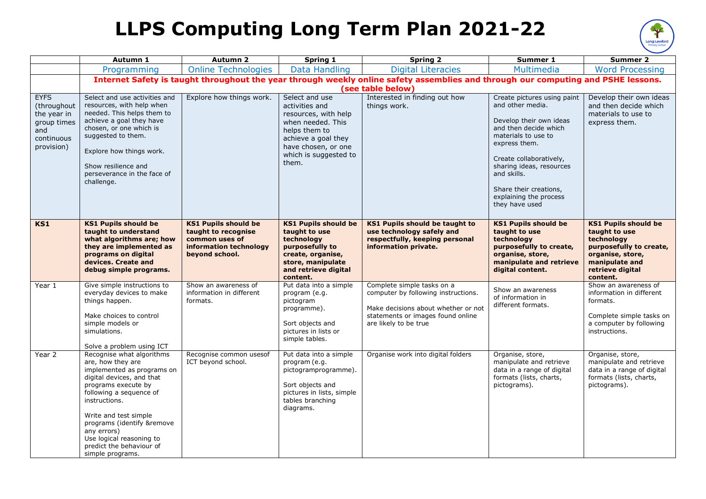## **LLPS Computing Long Term Plan 2021-22**



|                                                                                             | Autumn 1                                                                                                                                                                                                                                                                                                                       | <b>Autumn 2</b>                                                                                                  | Spring 1                                                                                                                                                                       | <b>Spring 2</b>                                                                                                                                                        | Summer 1                                                                                                                                                                                                                                                                                | Summer 2                                                                                                                                                    |
|---------------------------------------------------------------------------------------------|--------------------------------------------------------------------------------------------------------------------------------------------------------------------------------------------------------------------------------------------------------------------------------------------------------------------------------|------------------------------------------------------------------------------------------------------------------|--------------------------------------------------------------------------------------------------------------------------------------------------------------------------------|------------------------------------------------------------------------------------------------------------------------------------------------------------------------|-----------------------------------------------------------------------------------------------------------------------------------------------------------------------------------------------------------------------------------------------------------------------------------------|-------------------------------------------------------------------------------------------------------------------------------------------------------------|
|                                                                                             | Programming                                                                                                                                                                                                                                                                                                                    | <b>Online Technologies</b>                                                                                       | <b>Data Handling</b>                                                                                                                                                           | <b>Digital Literacies</b>                                                                                                                                              | Multimedia                                                                                                                                                                                                                                                                              | <b>Word Processing</b>                                                                                                                                      |
|                                                                                             | Internet Safety is taught throughout the year through weekly online safety assemblies and through our computing and PSHE lessons.                                                                                                                                                                                              |                                                                                                                  |                                                                                                                                                                                |                                                                                                                                                                        |                                                                                                                                                                                                                                                                                         |                                                                                                                                                             |
|                                                                                             |                                                                                                                                                                                                                                                                                                                                |                                                                                                                  |                                                                                                                                                                                | (see table below)                                                                                                                                                      |                                                                                                                                                                                                                                                                                         |                                                                                                                                                             |
| <b>EYFS</b><br>(throughout<br>the year in<br>group times<br>and<br>continuous<br>provision) | Select and use activities and<br>resources, with help when<br>needed. This helps them to<br>achieve a goal they have<br>chosen, or one which is<br>suggested to them.<br>Explore how things work.<br>Show resilience and<br>perseverance in the face of<br>challenge.                                                          | Explore how things work.                                                                                         | Select and use<br>activities and<br>resources, with help<br>when needed. This<br>helps them to<br>achieve a goal they<br>have chosen, or one<br>which is suggested to<br>them. | Interested in finding out how<br>things work.                                                                                                                          | Create pictures using paint<br>and other media.<br>Develop their own ideas<br>and then decide which<br>materials to use to<br>express them.<br>Create collaboratively,<br>sharing ideas, resources<br>and skills.<br>Share their creations,<br>explaining the process<br>they have used | Develop their own ideas<br>and then decide which<br>materials to use to<br>express them.                                                                    |
| <b>KS1</b>                                                                                  | <b>KS1 Pupils should be</b><br>taught to understand<br>what algorithms are; how<br>they are implemented as<br>programs on digital<br>devices. Create and<br>debug simple programs.                                                                                                                                             | <b>KS1 Pupils should be</b><br>taught to recognise<br>common uses of<br>information technology<br>beyond school. | <b>KS1 Pupils should be</b><br>taught to use<br>technology<br>purposefully to<br>create, organise,<br>store, manipulate<br>and retrieve digital<br>content.                    | <b>KS1 Pupils should be taught to</b><br>use technology safely and<br>respectfully, keeping personal<br>information private.                                           | <b>KS1 Pupils should be</b><br>taught to use<br>technology<br>purposefully to create,<br>organise, store,<br>manipulate and retrieve<br>digital content.                                                                                                                                | <b>KS1 Pupils should be</b><br>taught to use<br>technology<br>purposefully to create,<br>organise, store,<br>manipulate and<br>retrieve digital<br>content. |
| Year 1                                                                                      | Give simple instructions to<br>everyday devices to make<br>things happen.<br>Make choices to control<br>simple models or<br>simulations.<br>Solve a problem using ICT                                                                                                                                                          | Show an awareness of<br>information in different<br>formats.                                                     | Put data into a simple<br>program (e.g.<br>pictogram<br>programme).<br>Sort objects and<br>pictures in lists or<br>simple tables.                                              | Complete simple tasks on a<br>computer by following instructions.<br>Make decisions about whether or not<br>statements or images found online<br>are likely to be true | Show an awareness<br>of information in<br>different formats.                                                                                                                                                                                                                            | Show an awareness of<br>information in different<br>formats.<br>Complete simple tasks on<br>a computer by following<br>instructions.                        |
| Year 2                                                                                      | Recognise what algorithms<br>are, how they are<br>implemented as programs on<br>digital devices, and that<br>programs execute by<br>following a sequence of<br>instructions.<br>Write and test simple<br>programs (identify &remove<br>any errors)<br>Use logical reasoning to<br>predict the behaviour of<br>simple programs. | Recognise common usesof<br>ICT beyond school.                                                                    | Put data into a simple<br>program (e.g.<br>pictogramprogramme).<br>Sort objects and<br>pictures in lists, simple<br>tables branching<br>diagrams.                              | Organise work into digital folders                                                                                                                                     | Organise, store,<br>manipulate and retrieve<br>data in a range of digital<br>formats (lists, charts,<br>pictograms).                                                                                                                                                                    | Organise, store,<br>manipulate and retrieve<br>data in a range of digital<br>formats (lists, charts,<br>pictograms).                                        |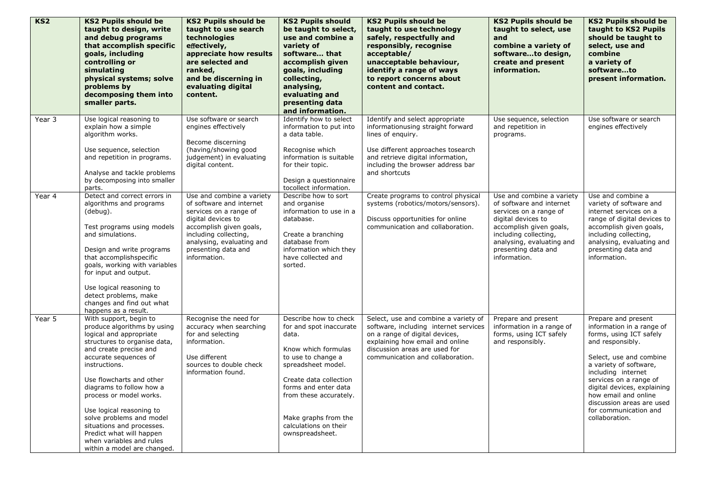| KS2    | <b>KS2 Pupils should be</b><br>taught to design, write<br>and debug programs<br>that accomplish specific<br>goals, including<br>controlling or<br>simulating<br>physical systems; solve<br>problems by<br>decomposing them into<br>smaller parts.                                                                                                                                                                                                   | <b>KS2 Pupils should be</b><br>taught to use search<br>technologies<br>effectively,<br>appreciate how results<br>are selected and<br>ranked,<br>and be discerning in<br>evaluating digital<br>content.                        | <b>KS2 Pupils should</b><br>be taught to select,<br>use and combine a<br>variety of<br>software that<br>accomplish given<br>goals, including<br>collecting,<br>analysing,<br>evaluating and<br>presenting data<br>and information.                                           | <b>KS2 Pupils should be</b><br>taught to use technology<br>safely, respectfully and<br>responsibly, recognise<br>acceptable/<br>unacceptable behaviour,<br>identify a range of ways<br>to report concerns about<br>content and contact. | <b>KS2 Pupils should be</b><br>taught to select, use<br>and<br>combine a variety of<br>softwareto design,<br>create and present<br>information.                                                                               | <b>KS2 Pupils should be</b><br>taught to KS2 Pupils<br>should be taught to<br>select, use and<br>combine<br>a variety of<br>softwareto<br>present information.                                                                                                                                                                      |
|--------|-----------------------------------------------------------------------------------------------------------------------------------------------------------------------------------------------------------------------------------------------------------------------------------------------------------------------------------------------------------------------------------------------------------------------------------------------------|-------------------------------------------------------------------------------------------------------------------------------------------------------------------------------------------------------------------------------|------------------------------------------------------------------------------------------------------------------------------------------------------------------------------------------------------------------------------------------------------------------------------|-----------------------------------------------------------------------------------------------------------------------------------------------------------------------------------------------------------------------------------------|-------------------------------------------------------------------------------------------------------------------------------------------------------------------------------------------------------------------------------|-------------------------------------------------------------------------------------------------------------------------------------------------------------------------------------------------------------------------------------------------------------------------------------------------------------------------------------|
| Year 3 | Use logical reasoning to<br>explain how a simple<br>algorithm works.<br>Use sequence, selection<br>and repetition in programs.<br>Analyse and tackle problems<br>by decomposing into smaller<br>parts.                                                                                                                                                                                                                                              | Use software or search<br>engines effectively<br>Become discerning<br>(having/showing good<br>judgement) in evaluating<br>digital content.                                                                                    | Identify how to select<br>information to put into<br>a data table.<br>Recognise which<br>information is suitable<br>for their topic.<br>Design a questionnaire<br>tocollect information.                                                                                     | Identify and select appropriate<br>informationusing straight forward<br>lines of enquiry.<br>Use different approaches tosearch<br>and retrieve digital information,<br>including the browser address bar<br>and shortcuts               | Use sequence, selection<br>and repetition in<br>programs.                                                                                                                                                                     | Use software or search<br>engines effectively                                                                                                                                                                                                                                                                                       |
| Year 4 | Detect and correct errors in<br>algorithms and programs<br>(debug).<br>Test programs using models<br>and simulations.<br>Design and write programs<br>that accomplishspecific<br>goals, working with variables<br>for input and output.<br>Use logical reasoning to<br>detect problems, make<br>changes and find out what<br>happens as a result.                                                                                                   | Use and combine a variety<br>of software and internet<br>services on a range of<br>digital devices to<br>accomplish given goals,<br>including collecting,<br>analysing, evaluating and<br>presenting data and<br>information. | Describe how to sort<br>and organise<br>information to use in a<br>database.<br>Create a branching<br>database from<br>information which they<br>have collected and<br>sorted.                                                                                               | Create programs to control physical<br>systems (robotics/motors/sensors).<br>Discuss opportunities for online<br>communication and collaboration.                                                                                       | Use and combine a variety<br>of software and internet<br>services on a range of<br>digital devices to<br>accomplish given goals,<br>including collecting,<br>analysing, evaluating and<br>presenting data and<br>information. | Use and combine a<br>variety of software and<br>internet services on a<br>range of digital devices to<br>accomplish given goals,<br>including collecting,<br>analysing, evaluating and<br>presenting data and<br>information.                                                                                                       |
| Year 5 | With support, begin to<br>produce algorithms by using<br>logical and appropriate<br>structures to organise data,<br>and create precise and<br>accurate sequences of<br>instructions.<br>Use flowcharts and other<br>diagrams to follow how a<br>process or model works.<br>Use logical reasoning to<br>solve problems and model<br>situations and processes.<br>Predict what will happen<br>when variables and rules<br>within a model are changed. | Recognise the need for<br>accuracy when searching<br>for and selecting<br>information.<br>Use different<br>sources to double check<br>information found.                                                                      | Describe how to check<br>for and spot inaccurate<br>data.<br>Know which formulas<br>to use to change a<br>spreadsheet model.<br>Create data collection<br>forms and enter data<br>from these accurately.<br>Make graphs from the<br>calculations on their<br>ownspreadsheet. | Select, use and combine a variety of<br>software, including internet services<br>on a range of digital devices,<br>explaining how email and online<br>discussion areas are used for<br>communication and collaboration.                 | Prepare and present<br>information in a range of<br>forms, using ICT safely<br>and responsibly.                                                                                                                               | Prepare and present<br>information in a range of<br>forms, using ICT safely<br>and responsibly.<br>Select, use and combine<br>a variety of software,<br>including internet<br>services on a range of<br>digital devices, explaining<br>how email and online<br>discussion areas are used<br>for communication and<br>collaboration. |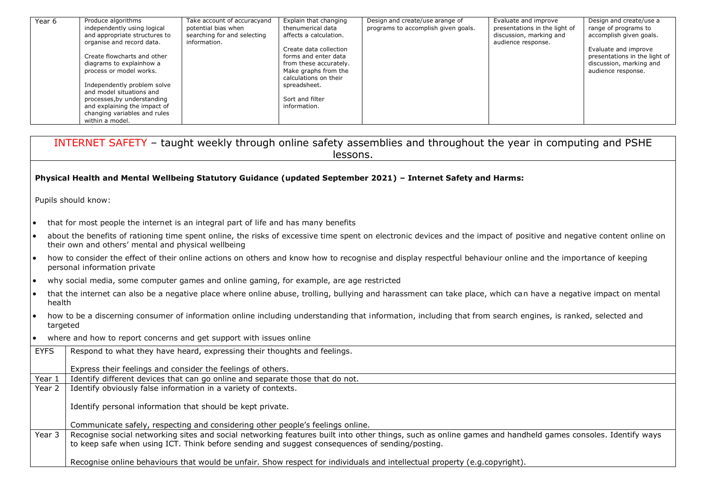| Year 6 | Produce algorithms            | Take account of accuracyand | Explain that changing  | Design and create/use arange of     | Evaluate and improve          | Design and create/use a       |
|--------|-------------------------------|-----------------------------|------------------------|-------------------------------------|-------------------------------|-------------------------------|
|        | independently using logical   | potential bias when         | thenumerical data      | programs to accomplish given goals. | presentations in the light of | range of programs to          |
|        | and appropriate structures to | searching for and selecting | affects a calculation. |                                     | discussion, marking and       | accomplish given goals.       |
|        | organise and record data.     | information.                |                        |                                     | audience response.            |                               |
|        |                               |                             | Create data collection |                                     |                               | Evaluate and improve          |
|        | Create flowcharts and other   |                             | forms and enter data   |                                     |                               | presentations in the light of |
|        | diagrams to explainhow a      |                             | from these accurately. |                                     |                               | discussion, marking and       |
|        | process or model works.       |                             | Make graphs from the   |                                     |                               | audience response.            |
|        |                               |                             | calculations on their  |                                     |                               |                               |
|        | Independently problem solve   |                             | spreadsheet.           |                                     |                               |                               |
|        | and model situations and      |                             |                        |                                     |                               |                               |
|        | processes, by understanding   |                             | Sort and filter        |                                     |                               |                               |
|        | and explaining the impact of  |                             | information.           |                                     |                               |                               |
|        | changing variables and rules  |                             |                        |                                     |                               |                               |
|        | within a model.               |                             |                        |                                     |                               |                               |

|             | INTERNET SAFETY - taught weekly through online safety assemblies and throughout the year in computing and PSHE<br>lessons.                                                                                                                                  |  |  |  |  |
|-------------|-------------------------------------------------------------------------------------------------------------------------------------------------------------------------------------------------------------------------------------------------------------|--|--|--|--|
|             | Physical Health and Mental Wellbeing Statutory Guidance (updated September 2021) - Internet Safety and Harms:                                                                                                                                               |  |  |  |  |
|             | Pupils should know:                                                                                                                                                                                                                                         |  |  |  |  |
|             | that for most people the internet is an integral part of life and has many benefits                                                                                                                                                                         |  |  |  |  |
| $\bullet$   | about the benefits of rationing time spent online, the risks of excessive time spent on electronic devices and the impact of positive and negative content online on<br>their own and others' mental and physical wellbeing                                 |  |  |  |  |
| I۰          | how to consider the effect of their online actions on others and know how to recognise and display respectful behaviour online and the importance of keeping<br>personal information private                                                                |  |  |  |  |
| $\bullet$   | why social media, some computer games and online gaming, for example, are age restricted                                                                                                                                                                    |  |  |  |  |
| I۰          | that the internet can also be a negative place where online abuse, trolling, bullying and harassment can take place, which can have a negative impact on mental<br>health                                                                                   |  |  |  |  |
|             | how to be a discerning consumer of information online including understanding that information, including that from search engines, is ranked, selected and<br>targeted                                                                                     |  |  |  |  |
| $\bullet$   | where and how to report concerns and get support with issues online                                                                                                                                                                                         |  |  |  |  |
| <b>EYFS</b> | Respond to what they have heard, expressing their thoughts and feelings.                                                                                                                                                                                    |  |  |  |  |
|             | Express their feelings and consider the feelings of others.                                                                                                                                                                                                 |  |  |  |  |
| Year 1      | Identify different devices that can go online and separate those that do not.                                                                                                                                                                               |  |  |  |  |
| Year 2      | Identify obviously false information in a variety of contexts.                                                                                                                                                                                              |  |  |  |  |
|             | Identify personal information that should be kept private.                                                                                                                                                                                                  |  |  |  |  |
|             | Communicate safely, respecting and considering other people's feelings online.                                                                                                                                                                              |  |  |  |  |
| Year 3      | Recognise social networking sites and social networking features built into other things, such as online games and handheld games consoles. Identify ways<br>to keep safe when using ICT. Think before sending and suggest consequences of sending/posting. |  |  |  |  |
|             | Recognise online behaviours that would be unfair. Show respect for individuals and intellectual property (e.g.copyright).                                                                                                                                   |  |  |  |  |